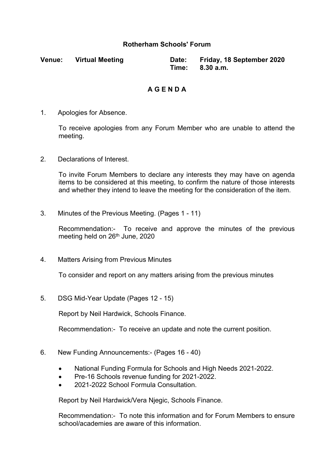## **Rotherham Schools' Forum**

| <b>Venue:</b> | <b>Virtual Meeting</b> | Date: Friday, 18 September 2020 |
|---------------|------------------------|---------------------------------|
|               |                        | Time: 8.30 a.m.                 |

## **A G E N D A**

1. Apologies for Absence.

To receive apologies from any Forum Member who are unable to attend the meeting.

2. Declarations of Interest.

To invite Forum Members to declare any interests they may have on agenda items to be considered at this meeting, to confirm the nature of those interests and whether they intend to leave the meeting for the consideration of the item.

3. Minutes of the Previous Meeting. (Pages 1 - 11)

Recommendation:- To receive and approve the minutes of the previous meeting held on 26<sup>th</sup> June, 2020

4. Matters Arising from Previous Minutes

To consider and report on any matters arising from the previous minutes

5. DSG Mid-Year Update (Pages 12 - 15)

Report by Neil Hardwick, Schools Finance.

Recommendation:- To receive an update and note the current position.

- 6. New Funding Announcements:- (Pages 16 40)
	- National Funding Formula for Schools and High Needs 2021-2022.
	- Pre-16 Schools revenue funding for 2021-2022.
	- 2021-2022 School Formula Consultation.

Report by Neil Hardwick/Vera Njegic, Schools Finance.

Recommendation:- To note this information and for Forum Members to ensure school/academies are aware of this information.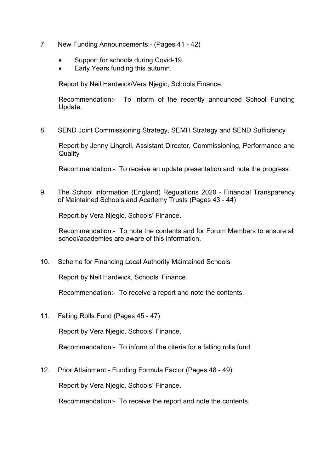- 7. New Funding Announcements:- (Pages 41 42)
	- Support for schools during Covid-19.
	- Early Years funding this autumn.

Report by Neil Hardwick/Vera Njegic, Schools Finance.

Recommendation:- To inform of the recently announced School Funding Update.

8. SEND Joint Commissioning Strategy, SEMH Strategy and SEND Sufficiency

Report by Jenny Lingrell, Assistant Director, Commissioning, Performance and **Quality** 

Recommendation:- To receive an update presentation and note the progress.

9. The School information (England) Regulations 2020 - Financial Transparency of Maintained Schools and Academy Trusts (Pages 43 - 44)

Report by Vera Njegic, Schools' Finance.

Recommendation:- To note the contents and for Forum Members to ensure all school/academies are aware of this information.

10. Scheme for Financing Local Authority Maintained Schools

Report by Neil Hardwick, Schools' Finance.

Recommendation:- To receive a report and note the contents.

11. Falling Rolls Fund (Pages 45 - 47)

Report by Vera Njegic, Schools' Finance.

Recommendation:- To inform of the citeria for a falling rolls fund.

12. Prior Attainment - Funding Formula Factor (Pages 48 - 49)

Report by Vera Njegic, Schools' Finance.

Recommendation:- To receive the report and note the contents.